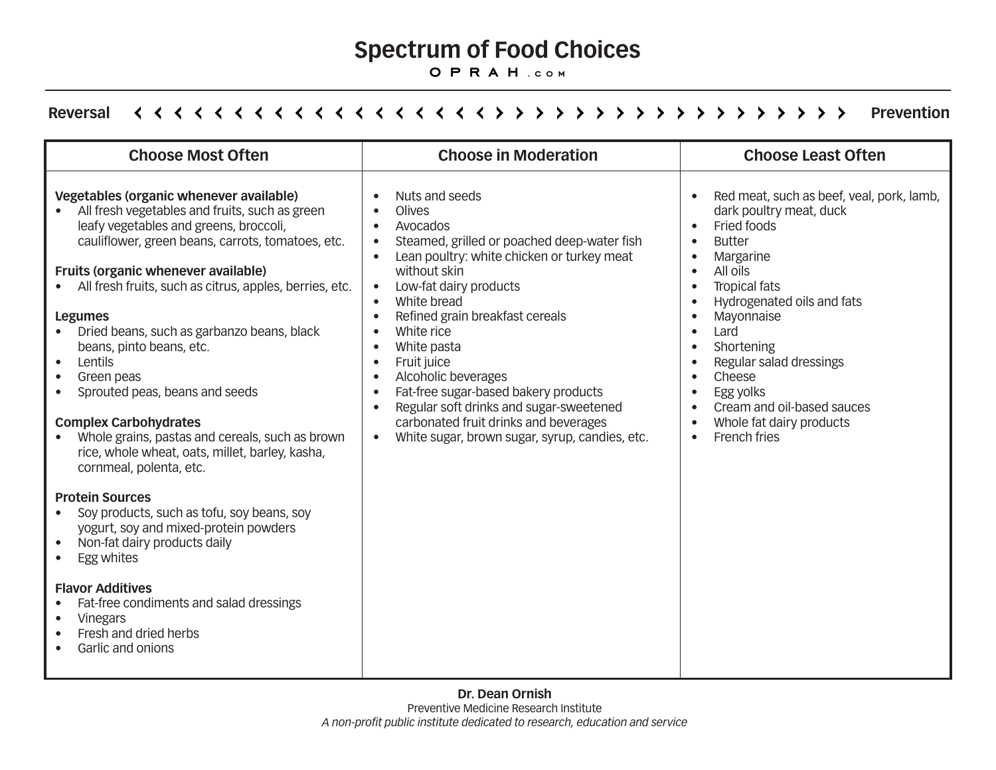#### **Spectrum of Food Choices**

**oprah .com**

#### Reversal *Reversal Prevention* **Prevention**

| <b>Choose Most Often</b>                                                                                                                                                                                                                                                                                                                                                                                                                                                                                                                                                                                                                                         | <b>Choose in Moderation</b>                                                                                                                                                                                                                                                                                                                                                                                                                                                                                                                                                                                                                | <b>Choose Least Often</b>                                                                                                                                                                                                                                                                                                                                                                                                                                                                                                                                           |
|------------------------------------------------------------------------------------------------------------------------------------------------------------------------------------------------------------------------------------------------------------------------------------------------------------------------------------------------------------------------------------------------------------------------------------------------------------------------------------------------------------------------------------------------------------------------------------------------------------------------------------------------------------------|--------------------------------------------------------------------------------------------------------------------------------------------------------------------------------------------------------------------------------------------------------------------------------------------------------------------------------------------------------------------------------------------------------------------------------------------------------------------------------------------------------------------------------------------------------------------------------------------------------------------------------------------|---------------------------------------------------------------------------------------------------------------------------------------------------------------------------------------------------------------------------------------------------------------------------------------------------------------------------------------------------------------------------------------------------------------------------------------------------------------------------------------------------------------------------------------------------------------------|
| Vegetables (organic whenever available)<br>All fresh vegetables and fruits, such as green<br>leafy vegetables and greens, broccoli,<br>cauliflower, green beans, carrots, tomatoes, etc.<br><b>Fruits (organic whenever available)</b><br>All fresh fruits, such as citrus, apples, berries, etc.<br>$\bullet$<br><b>Legumes</b><br>Dried beans, such as garbanzo beans, black<br>beans, pinto beans, etc.<br>Lentils<br>$\bullet$<br>Green peas<br>Sprouted peas, beans and seeds<br>$\bullet$<br><b>Complex Carbohydrates</b><br>Whole grains, pastas and cereals, such as brown<br>rice, whole wheat, oats, millet, barley, kasha,<br>cornmeal, polenta, etc. | Nuts and seeds<br>Olives<br>Avocados<br>$\bullet$<br>Steamed, grilled or poached deep-water fish<br>$\bullet$<br>Lean poultry: white chicken or turkey meat<br>$\bullet$<br>without skin<br>Low-fat dairy products<br>$\bullet$<br>White bread<br>$\bullet$<br>Refined grain breakfast cereals<br>$\bullet$<br>White rice<br>$\bullet$<br>White pasta<br>Fruit juice<br>$\bullet$<br>Alcoholic beverages<br>$\bullet$<br>Fat-free sugar-based bakery products<br>$\bullet$<br>Regular soft drinks and sugar-sweetened<br>$\bullet$<br>carbonated fruit drinks and beverages<br>White sugar, brown sugar, syrup, candies, etc.<br>$\bullet$ | Red meat, such as beef, veal, pork, lamb,<br>$\bullet$<br>dark poultry meat, duck<br>Fried foods<br>$\bullet$<br><b>Butter</b><br>$\bullet$<br>Margarine<br>$\bullet$<br>All oils<br>$\bullet$<br><b>Tropical fats</b><br>$\bullet$<br>Hydrogenated oils and fats<br>$\bullet$<br>Mayonnaise<br>$\bullet$<br>Lard<br>$\bullet$<br>Shortening<br>$\bullet$<br>Regular salad dressings<br>$\bullet$<br>Cheese<br>$\bullet$<br>Egg yolks<br>$\bullet$<br>Cream and oil-based sauces<br>$\bullet$<br>Whole fat dairy products<br>$\bullet$<br>French fries<br>$\bullet$ |
| <b>Protein Sources</b><br>Soy products, such as tofu, soy beans, soy<br>yogurt, soy and mixed-protein powders<br>Non-fat dairy products daily<br>$\bullet$<br>Egg whites                                                                                                                                                                                                                                                                                                                                                                                                                                                                                         |                                                                                                                                                                                                                                                                                                                                                                                                                                                                                                                                                                                                                                            |                                                                                                                                                                                                                                                                                                                                                                                                                                                                                                                                                                     |
| <b>Flavor Additives</b><br>Fat-free condiments and salad dressings<br><b>Vinegars</b><br>$\bullet$<br>Fresh and dried herbs<br>Garlic and onions                                                                                                                                                                                                                                                                                                                                                                                                                                                                                                                 |                                                                                                                                                                                                                                                                                                                                                                                                                                                                                                                                                                                                                                            |                                                                                                                                                                                                                                                                                                                                                                                                                                                                                                                                                                     |